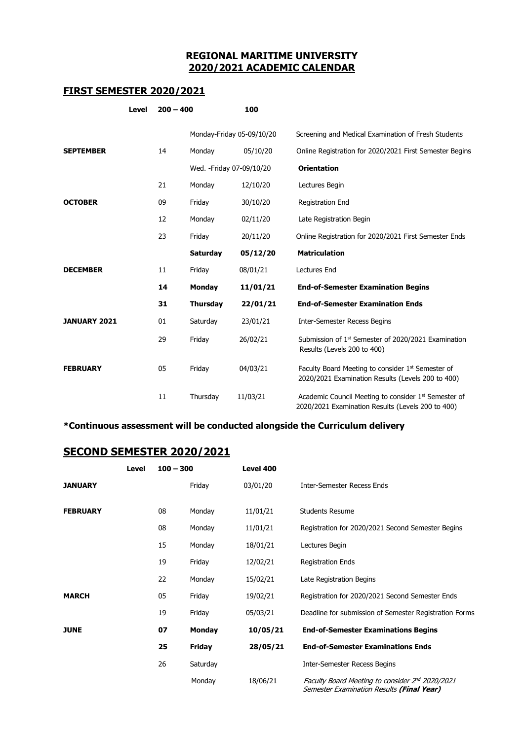## **REGIONAL MARITIME UNIVERSITY 2020/2021 ACADEMIC CALENDAR**

## **FIRST SEMESTER 2020/2021**

| <b>Level</b>        |  | $200 - 400$ |                           | 100      |                                                                                                                    |
|---------------------|--|-------------|---------------------------|----------|--------------------------------------------------------------------------------------------------------------------|
|                     |  |             | Monday-Friday 05-09/10/20 |          | Screening and Medical Examination of Fresh Students                                                                |
| <b>SEPTEMBER</b>    |  | 14          | Monday                    | 05/10/20 | Online Registration for 2020/2021 First Semester Begins                                                            |
|                     |  |             | Wed. - Friday 07-09/10/20 |          | <b>Orientation</b>                                                                                                 |
|                     |  | 21          | Monday                    | 12/10/20 | Lectures Begin                                                                                                     |
| <b>OCTOBER</b>      |  | 09          | Friday                    | 30/10/20 | Registration End                                                                                                   |
|                     |  | 12          | Monday                    | 02/11/20 | Late Registration Begin                                                                                            |
|                     |  | 23          | Friday                    | 20/11/20 | Online Registration for 2020/2021 First Semester Ends                                                              |
|                     |  |             | <b>Saturday</b>           | 05/12/20 | <b>Matriculation</b>                                                                                               |
| <b>DECEMBER</b>     |  | 11          | Friday                    | 08/01/21 | <b>Lectures End</b>                                                                                                |
|                     |  | 14          | <b>Monday</b>             | 11/01/21 | <b>End-of-Semester Examination Begins</b>                                                                          |
|                     |  | 31          | <b>Thursday</b>           | 22/01/21 | <b>End-of-Semester Examination Ends</b>                                                                            |
| <b>JANUARY 2021</b> |  | 01          | Saturday                  | 23/01/21 | <b>Inter-Semester Recess Begins</b>                                                                                |
|                     |  | 29          | Friday                    | 26/02/21 | Submission of 1 <sup>st</sup> Semester of 2020/2021 Examination<br>Results (Levels 200 to 400)                     |
| <b>FEBRUARY</b>     |  | 05          | Friday                    | 04/03/21 | Faculty Board Meeting to consider 1 <sup>st</sup> Semester of<br>2020/2021 Examination Results (Levels 200 to 400) |
|                     |  | 11          | Thursday                  | 11/03/21 | Academic Council Meeting to consider 1st Semester of<br>2020/2021 Examination Results (Levels 200 to 400)          |

## **\*Continuous assessment will be conducted alongside the Curriculum delivery**

## **SECOND SEMESTER 2020/2021**

|                 | Level | $100 - 300$ |          | Level 400 |                                                                                              |
|-----------------|-------|-------------|----------|-----------|----------------------------------------------------------------------------------------------|
| <b>JANUARY</b>  |       |             | Friday   | 03/01/20  | <b>Inter-Semester Recess Ends</b>                                                            |
| <b>FEBRUARY</b> |       | 08          | Monday   | 11/01/21  | <b>Students Resume</b>                                                                       |
|                 |       | 08          | Monday   | 11/01/21  | Registration for 2020/2021 Second Semester Begins                                            |
|                 |       | 15          | Monday   | 18/01/21  | Lectures Begin                                                                               |
|                 |       | 19          | Friday   | 12/02/21  | <b>Registration Ends</b>                                                                     |
|                 |       | 22          | Monday   | 15/02/21  | Late Registration Begins                                                                     |
| <b>MARCH</b>    |       | 05          | Friday   | 19/02/21  | Registration for 2020/2021 Second Semester Ends                                              |
|                 |       | 19          | Friday   | 05/03/21  | Deadline for submission of Semester Registration Forms                                       |
| <b>JUNE</b>     |       | 07          | Monday   | 10/05/21  | <b>End-of-Semester Examinations Begins</b>                                                   |
|                 |       | 25          | Friday   | 28/05/21  | <b>End-of-Semester Examinations Ends</b>                                                     |
|                 |       | 26          | Saturday |           | <b>Inter-Semester Recess Begins</b>                                                          |
|                 |       |             | Monday   | 18/06/21  | Faculty Board Meeting to consider 2nd 2020/2021<br>Semester Examination Results (Final Year) |